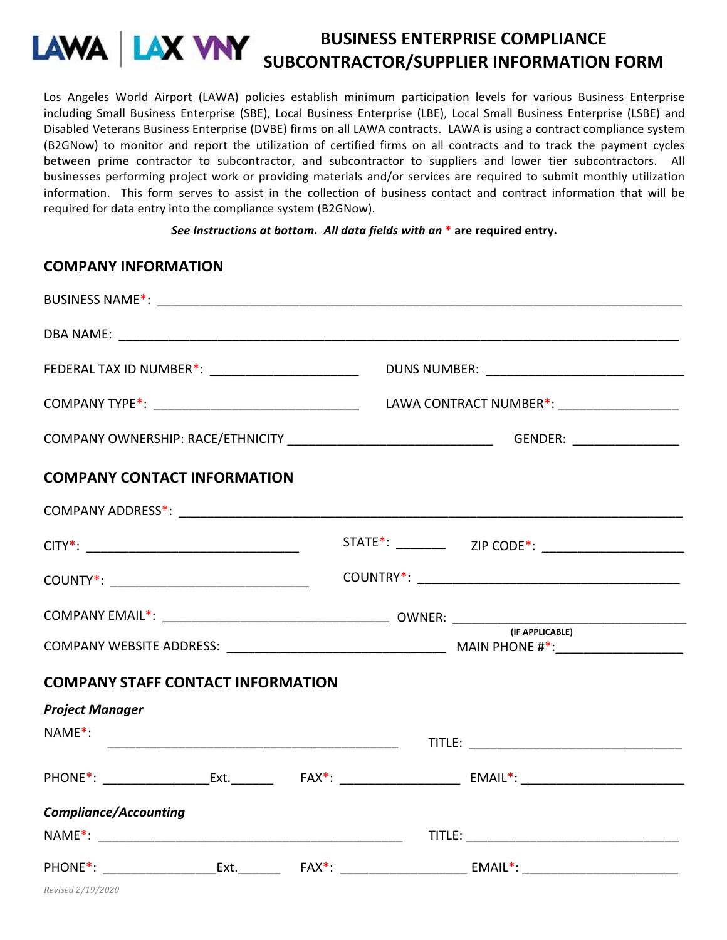## **BUSINESS ENTERPRISE COMPLIANCE SUBCONTRACTOR/SUPPLIER INFORMATION FORM**

Los Angeles World Airport (LAWA) policies establish minimum participation levels for various Business Enterprise including Small Business Enterprise (SBE), Local Business Enterprise (LBE), Local Small Business Enterprise (LSBE) and Disabled Veterans Business Enterprise (DVBE) firms on all LAWA contracts. LAWA is using a contract compliance system (B2GNow) to monitor and report the utilization of certified firms on all contracts and to track the payment cycles between prime contractor to subcontractor, and subcontractor to suppliers and lower tier subcontractors. All businesses performing project work or providing materials and/or services are required to submit monthly utilization information. This form serves to assist in the collection of business contact and contract information that will be required for data entry into the compliance system (B2GNow).

## *See Instructions at bottom. All data fields with an*<sup>\*</sup> are required entry.

|                                          | FEDERAL TAX ID NUMBER*: ___________________________ |  |  |  |                                                                                                                |  |  |
|------------------------------------------|-----------------------------------------------------|--|--|--|----------------------------------------------------------------------------------------------------------------|--|--|
|                                          |                                                     |  |  |  |                                                                                                                |  |  |
|                                          |                                                     |  |  |  |                                                                                                                |  |  |
| <b>COMPANY CONTACT INFORMATION</b>       |                                                     |  |  |  |                                                                                                                |  |  |
|                                          |                                                     |  |  |  |                                                                                                                |  |  |
|                                          |                                                     |  |  |  |                                                                                                                |  |  |
|                                          |                                                     |  |  |  |                                                                                                                |  |  |
|                                          |                                                     |  |  |  |                                                                                                                |  |  |
|                                          |                                                     |  |  |  |                                                                                                                |  |  |
| <b>COMPANY STAFF CONTACT INFORMATION</b> |                                                     |  |  |  |                                                                                                                |  |  |
| <b>Project Manager</b>                   |                                                     |  |  |  |                                                                                                                |  |  |
| $NAME^*$ :                               |                                                     |  |  |  |                                                                                                                |  |  |
|                                          |                                                     |  |  |  |                                                                                                                |  |  |
|                                          | <b>Compliance/Accounting</b>                        |  |  |  |                                                                                                                |  |  |
|                                          |                                                     |  |  |  |                                                                                                                |  |  |
|                                          |                                                     |  |  |  | PHONE*: _____________________Ext. _________  FAX*: ______________________________ EMAIL*: ____________________ |  |  |

**COMPANY INFORMATION**